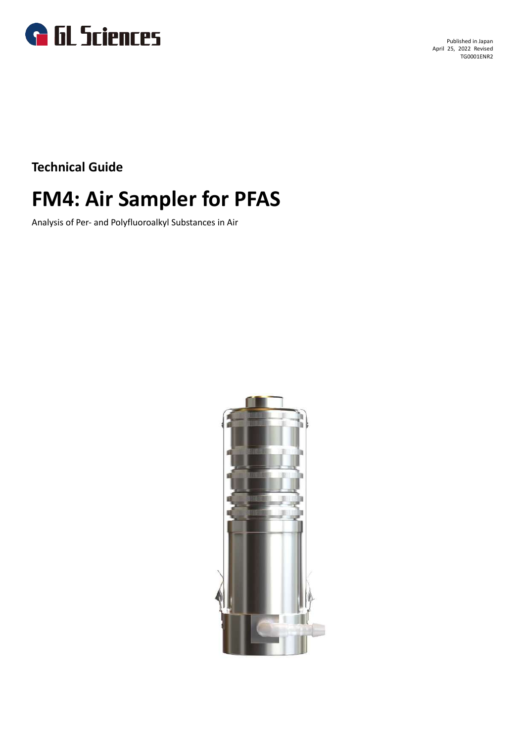

Published in Japan April 25, 2022 Revised TG0001ENR2

**Technical Guide**

# **FM4: Air Sampler for PFAS**

Analysis of Per- and Polyfluoroalkyl Substances in Air

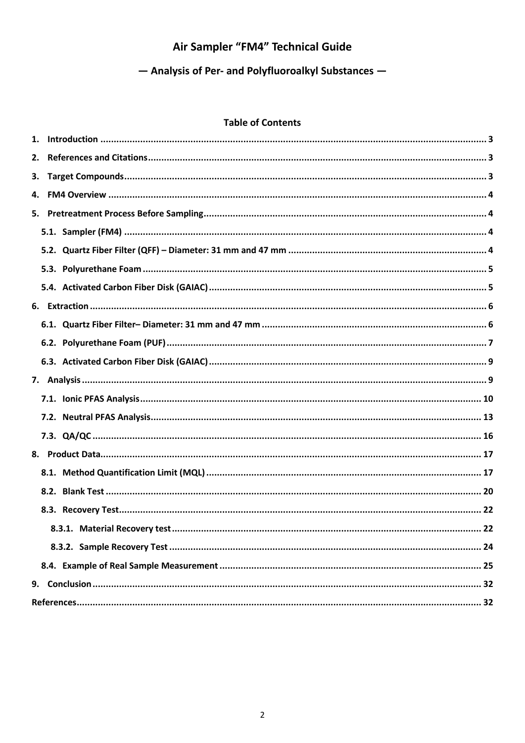# Air Sampler "FM4" Technical Guide

- Analysis of Per- and Polyfluoroalkyl Substances -

# **Table of Contents**

| 2. |    |  |
|----|----|--|
|    |    |  |
| 4. |    |  |
|    |    |  |
|    |    |  |
|    |    |  |
|    |    |  |
|    |    |  |
|    |    |  |
|    |    |  |
|    |    |  |
|    |    |  |
|    |    |  |
|    |    |  |
|    |    |  |
|    |    |  |
|    |    |  |
|    |    |  |
|    |    |  |
|    |    |  |
|    | 22 |  |
|    |    |  |
|    |    |  |
|    |    |  |
|    |    |  |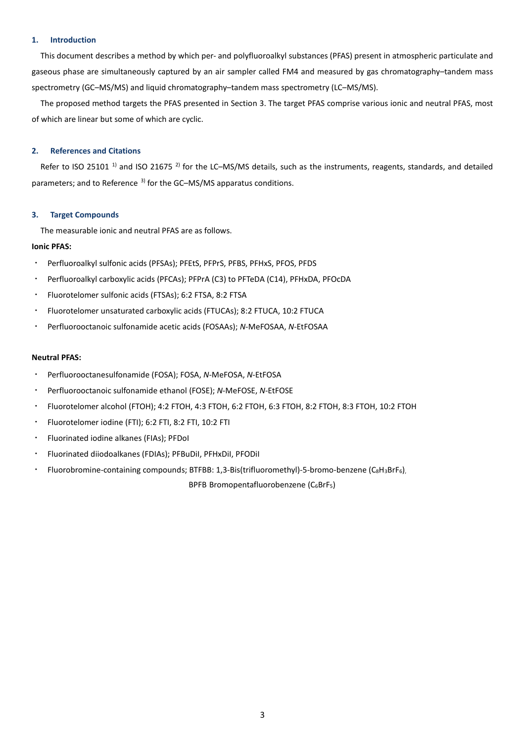# <span id="page-2-0"></span>**1. Introduction**

This document describes a method by which per- and polyfluoroalkyl substances (PFAS) present in atmospheric particulate and gaseous phase are simultaneously captured by an air sampler called FM4 and measured by gas chromatography–tandem mass spectrometry (GC–MS/MS) and liquid chromatography–tandem mass spectrometry (LC–MS/MS).

The proposed method targets the PFAS presented in Section [3.](#page-2-2) The target PFAS comprise various ionic and neutral PFAS, most of which are linear but some of which are cyclic.

# <span id="page-2-1"></span>**2. References and Citations**

<span id="page-2-5"></span><span id="page-2-4"></span><span id="page-2-3"></span>Refer to ISO 25101<sup>1</sup> and ISO 21675<sup>2</sup> for the LC–MS/MS details, such as the instruments, reagents, standards, and detailed parameters; and to Reference <sup>3)</sup> for the GC–MS/MS apparatus conditions.

# <span id="page-2-2"></span>**3. Target Compounds**

The measurable ionic and neutral PFAS are as follows.

# **Ionic PFAS:**

- Perfluoroalkyl sulfonic acids (PFSAs); PFEtS, PFPrS, PFBS, PFHxS, PFOS, PFDS
- Perfluoroalkyl carboxylic acids (PFCAs); PFPrA (C3) to PFTeDA (C14), PFHxDA, PFOcDA
- Fluorotelomer sulfonic acids (FTSAs); 6:2 FTSA, 8:2 FTSA
- ・ Fluorotelomer unsaturated carboxylic acids (FTUCAs); 8:2 FTUCA, 10:2 FTUCA
- ・ Perfluorooctanoic sulfonamide acetic acids (FOSAAs); *N*-MeFOSAA, *N*-EtFOSAA

# **Neutral PFAS:**

- ・ Perfluorooctanesulfonamide (FOSA); FOSA, *N*-MeFOSA, *N*-EtFOSA
- ・ Perfluorooctanoic sulfonamide ethanol (FOSE); *N*-MeFOSE, *N*-EtFOSE
- ・ Fluorotelomer alcohol (FTOH); 4:2 FTOH, 4:3 FTOH, 6:2 FTOH, 6:3 FTOH, 8:2 FTOH, 8:3 FTOH, 10:2 FTOH
- ・ Fluorotelomer iodine (FTI); 6:2 FTI, 8:2 FTI, 10:2 FTI
- Fluorinated iodine alkanes (FIAs); PFDoI
- ・ Fluorinated diiodoalkanes (FDIAs); PFBuDiI, PFHxDiI, PFODiI
- Fluorobromine-containing compounds; BTFBB: 1,3-Bis(trifluoromethyl)-5-bromo-benzene (C<sub>8</sub>H<sub>3</sub>BrF<sub>6</sub>)

BPFB Bromopentafluorobenzene (C6BrF5)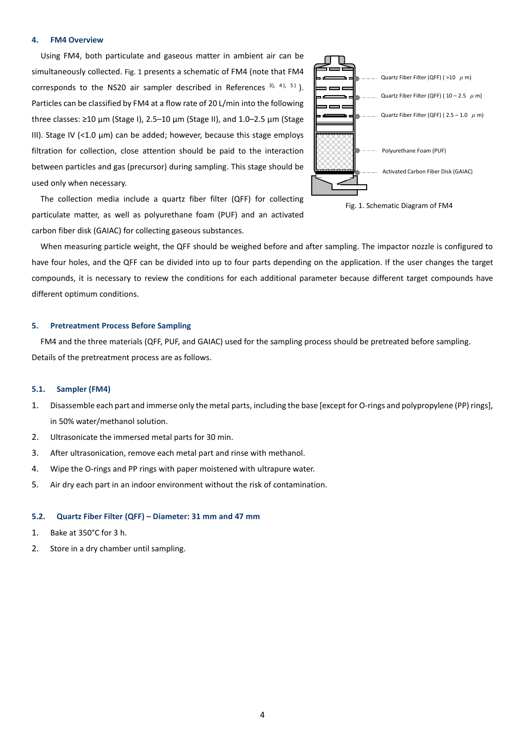#### <span id="page-3-0"></span>**4. FM4 Overview**

Using FM4, both particulate and gaseous matter in ambient air can be simultaneously collected. [Fig. 1](#page-3-4) presents a schematic of FM4 (note that FM4 corresponds to the NS20 air sampler described in References  $3$ ,  $4$ ,  $5$ ). Particles can be classified by FM4 at a flow rate of 20 L/min into the following three classes: ≥10 µm (Stage I), 2.5–10 µm (Stage II), and 1.0–2.5 µm (Stage III). Stage IV (<1.0 µm) can be added; however, because this stage employs filtration for collection, close attention should be paid to the interaction between particles and gas (precursor) during sampling. This stage should be used only when necessary.



The collection media include a quartz fiber filter (QFF) for collecting particulate matter, as well as polyurethane foam (PUF) and an activated carbon fiber disk (GAIAC) for collecting gaseous substances.

<span id="page-3-4"></span>

When measuring particle weight, the QFF should be weighed before and after sampling. The impactor nozzle is configured to have four holes, and the QFF can be divided into up to four parts depending on the application. If the user changes the target compounds, it is necessary to review the conditions for each additional parameter because different target compounds have different optimum conditions.

## <span id="page-3-1"></span>**5. Pretreatment Process Before Sampling**

FM4 and the three materials (QFF, PUF, and GAIAC) used for the sampling process should be pretreated before sampling. Details of the pretreatment process are as follows.

#### <span id="page-3-2"></span>**5.1. Sampler (FM4)**

- 1. Disassemble each part and immerse only the metal parts, including the base [except for O-rings and polypropylene (PP) rings], in 50% water/methanol solution.
- 2. Ultrasonicate the immersed metal parts for 30 min.
- 3. After ultrasonication, remove each metal part and rinse with methanol.
- 4. Wipe the O-rings and PP rings with paper moistened with ultrapure water.
- 5. Air dry each part in an indoor environment without the risk of contamination.

#### <span id="page-3-3"></span>**5.2. Quartz Fiber Filter (QFF) – Diameter: 31 mm and 47 mm**

- 1. Bake at 350°C for 3 h.
- 2. Store in a dry chamber until sampling.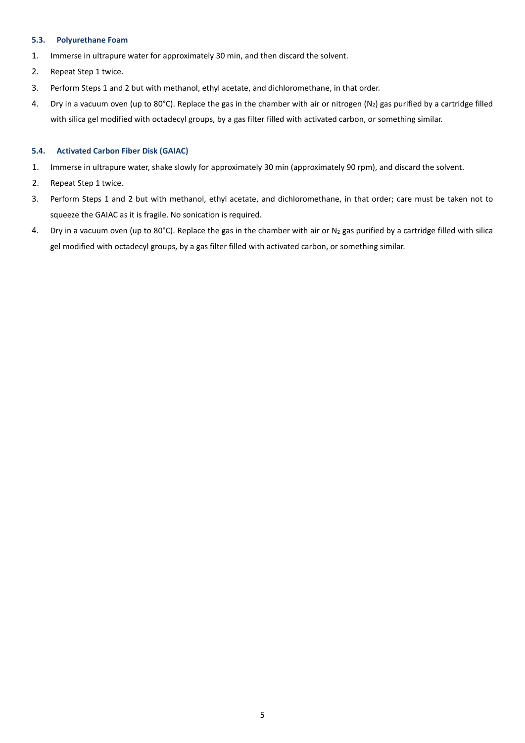# <span id="page-4-0"></span>**5.3. Polyurethane Foam**

- 1. Immerse in ultrapure water for approximately 30 min, and then discard the solvent.
- 2. Repeat Step 1 twice.
- 3. Perform Steps 1 and 2 but with methanol, ethyl acetate, and dichloromethane, in that order.
- 4. Dry in a vacuum oven (up to 80°C). Replace the gas in the chamber with air or nitrogen (N<sub>2</sub>) gas purified by a cartridge filled with silica gel modified with octadecyl groups, by a gas filter filled with activated carbon, or something similar.

# <span id="page-4-1"></span>**5.4. Activated Carbon Fiber Disk (GAIAC)**

- 1. Immerse in ultrapure water, shake slowly for approximately 30 min (approximately 90 rpm), and discard the solvent.
- 2. Repeat Step 1 twice.
- 3. Perform Steps 1 and 2 but with methanol, ethyl acetate, and dichloromethane, in that order; care must be taken not to squeeze the GAIAC as it is fragile. No sonication is required.
- 4. Dry in a vacuum oven (up to 80°C). Replace the gas in the chamber with air or  $N_2$  gas purified by a cartridge filled with silica gel modified with octadecyl groups, by a gas filter filled with activated carbon, or something similar.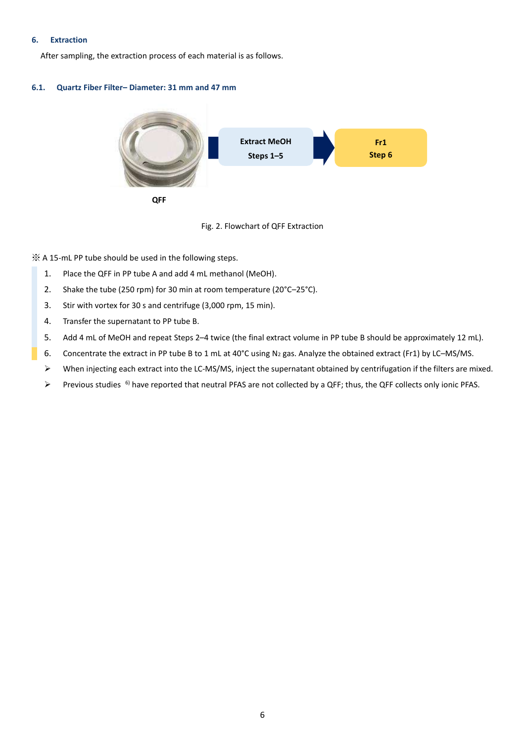# <span id="page-5-0"></span>**6. Extraction**

After sampling, the extraction process of each material is as follows.

# <span id="page-5-1"></span>**6.1. Quartz Fiber Filter– Diameter: 31 mm and 47 mm**





※ A 15-mL PP tube should be used in the following steps.

- 1. Place the QFF in PP tube A and add 4 mL methanol (MeOH).
- 2. Shake the tube (250 rpm) for 30 min at room temperature (20°C–25°C).
- 3. Stir with vortex for 30 s and centrifuge (3,000 rpm, 15 min).
- 4. Transfer the supernatant to PP tube B.
- 5. Add 4 mL of MeOH and repeat Steps 2–4 twice (the final extract volume in PP tube B should be approximately 12 mL).
- 6. Concentrate the extract in PP tube B to 1 mL at 40°C using  $N_2$  gas. Analyze the obtained extract (Fr1) by LC–MS/MS.
- ➢ When injecting each extract into the LC-MS/MS, inject the supernatant obtained by centrifugation if the filters are mixed.
- ➢ Previous studies <sup>6</sup>) have reported that neutral PFAS are not collected by a QFF; thus, the QFF collects only ionic PFAS.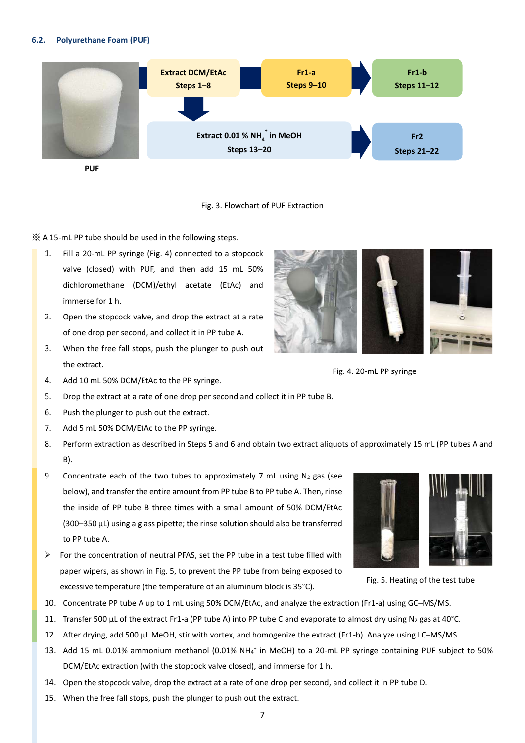# <span id="page-6-0"></span>**6.2. Polyurethane Foam (PUF)**



#### Fig. 3. Flowchart of PUF Extraction

※ A 15-mL PP tube should be used in the following steps.

- 1. Fill a 20-mL PP syringe [\(Fig. 4\)](#page-6-1) connected to a stopcock valve (closed) with PUF, and then add 15 mL 50% dichloromethane (DCM)/ethyl acetate (EtAc) and immerse for 1 h.
- 2. Open the stopcock valve, and drop the extract at a rate of one drop per second, and collect it in PP tube A.
- 3. When the free fall stops, push the plunger to push out the extract.
- 4. Add 10 mL 50% DCM/EtAc to the PP syringe.
- 5. Drop the extract at a rate of one drop per second and collect it in PP tube B.
- 6. Push the plunger to push out the extract.
- 7. Add 5 mL 50% DCM/EtAc to the PP syringe.
- 8. Perform extraction as described in Steps 5 and 6 and obtain two extract aliquots of approximately 15 mL (PP tubes A and B).
- 9. Concentrate each of the two tubes to approximately 7 mL using  $N_2$  gas (see below), and transfer the entire amount from PP tube B to PP tube A. Then, rinse the inside of PP tube B three times with a small amount of 50% DCM/EtAc (300–350 µL) using a glass pipette; the rinse solution should also be transferred to PP tube A.
- ➢ For the concentration of neutral PFAS, set the PP tube in a test tube filled with paper wipers, as shown in [Fig. 5,](#page-6-2) to prevent the PP tube from being exposed to excessive temperature (the temperature of an aluminum block is 35°C).
- 10. Concentrate PP tube A up to 1 mL using 50% DCM/EtAc, and analyze the extraction (Fr1-a) using GC–MS/MS.
- 11. Transfer 500 µL of the extract Fr1-a (PP tube A) into PP tube C and evaporate to almost dry using N<sub>2</sub> gas at 40°C.
- 12. After drying, add 500 µL MeOH, stir with vortex, and homogenize the extract (Fr1-b). Analyze using LC-MS/MS.
- 13. Add 15 mL 0.01% ammonium methanol (0.01% NH<sub>4</sub><sup>+</sup> in MeOH) to a 20-mL PP syringe containing PUF subject to 50% DCM/EtAc extraction (with the stopcock valve closed), and immerse for 1 h.
- 14. Open the stopcock valve, drop the extract at a rate of one drop per second, and collect it in PP tube D.
- 15. When the free fall stops, push the plunger to push out the extract.



<span id="page-6-1"></span>Fig. 4. 20-mL PP syringe



<span id="page-6-2"></span>Fig. 5. Heating of the test tube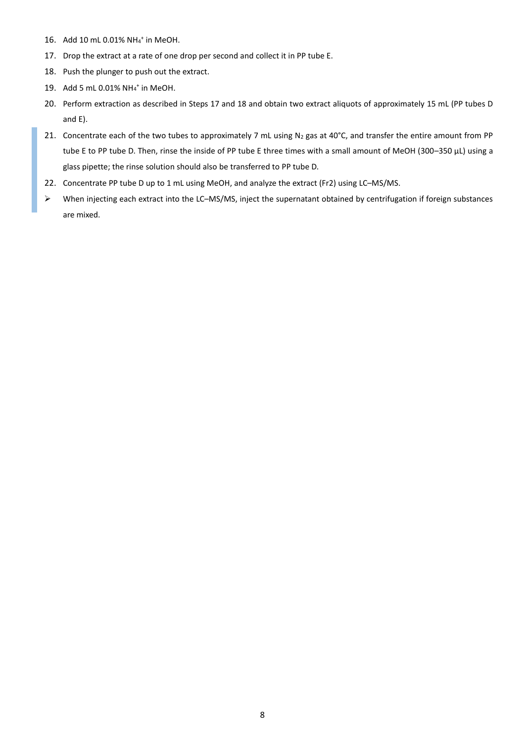- 16. Add 10 mL 0.01% NH<sub>4</sub><sup>+</sup> in MeOH.
- 17. Drop the extract at a rate of one drop per second and collect it in PP tube E.
- 18. Push the plunger to push out the extract.
- 19. Add 5 mL 0.01% NH<sup>4</sup> + in MeOH.
- 20. Perform extraction as described in Steps 17 and 18 and obtain two extract aliquots of approximately 15 mL (PP tubes D and E).
- 21. Concentrate each of the two tubes to approximately 7 mL using N<sub>2</sub> gas at 40°C, and transfer the entire amount from PP tube E to PP tube D. Then, rinse the inside of PP tube E three times with a small amount of MeOH (300–350 µL) using a glass pipette; the rinse solution should also be transferred to PP tube D.
- 22. Concentrate PP tube D up to 1 mL using MeOH, and analyze the extract (Fr2) using LC-MS/MS.
- ➢ When injecting each extract into the LC–MS/MS, inject the supernatant obtained by centrifugation if foreign substances are mixed.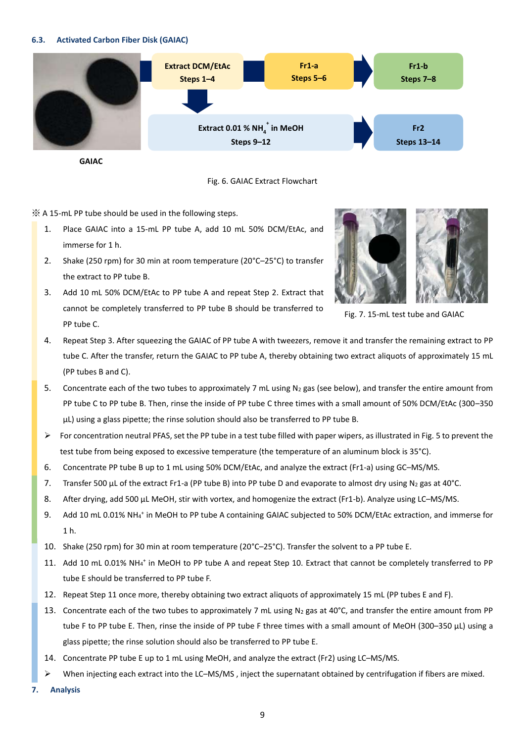# <span id="page-8-0"></span>**6.3. Activated Carbon Fiber Disk (GAIAC)**



**GAIAC**



※ A 15-mL PP tube should be used in the following steps.

- 1. Place GAIAC into a 15-mL PP tube A, add 10 mL 50% DCM/EtAc, and immerse for 1 h.
- 2. Shake (250 rpm) for 30 min at room temperature (20°C–25°C) to transfer the extract to PP tube B.
- 3. Add 10 mL 50% DCM/EtAc to PP tube A and repeat Step 2. Extract that cannot be completely transferred to PP tube B should be transferred to PP tube C.



Fig. 7. 15-mL test tube and GAIAC

- 4. Repeat Step 3. After squeezing the GAIAC of PP tube A with tweezers, remove it and transfer the remaining extract to PP tube C. After the transfer, return the GAIAC to PP tube A, thereby obtaining two extract aliquots of approximately 15 mL (PP tubes B and C).
- 5. Concentrate each of the two tubes to approximately 7 mL using  $N_2$  gas (see below), and transfer the entire amount from PP tube C to PP tube B. Then, rinse the inside of PP tube C three times with a small amount of 50% DCM/EtAc (300–350 µL) using a glass pipette; the rinse solution should also be transferred to PP tube B.
- $\triangleright$  For concentration neutral PFAS, set the PP tube in a test tube filled with paper wipers, as illustrated i[n Fig. 5](#page-6-2) to prevent the test tube from being exposed to excessive temperature (the temperature of an aluminum block is 35°C).
- 6. Concentrate PP tube B up to 1 mL using 50% DCM/EtAc, and analyze the extract (Fr1-a) using GC–MS/MS.
- 7. Transfer 500 µL of the extract Fr1-a (PP tube B) into PP tube D and evaporate to almost dry using N<sub>2</sub> gas at 40°C.
- 8. After drying, add 500 µL MeOH, stir with vortex, and homogenize the extract (Fr1-b). Analyze using LC–MS/MS.
- 9. Add 10 mL 0.01% NH<sub>4</sub><sup>+</sup> in MeOH to PP tube A containing GAIAC subjected to 50% DCM/EtAc extraction, and immerse for 1 h.
- 10. Shake (250 rpm) for 30 min at room temperature (20°C–25°C). Transfer the solvent to a PP tube E.
- 11. Add 10 mL 0.01% NH4<sup>+</sup> in MeOH to PP tube A and repeat Step 10. Extract that cannot be completely transferred to PP tube E should be transferred to PP tube F.
- 12. Repeat Step 11 once more, thereby obtaining two extract aliquots of approximately 15 mL (PP tubes E and F).
- 13. Concentrate each of the two tubes to approximately 7 mL using  $N_2$  gas at 40°C, and transfer the entire amount from PP tube F to PP tube E. Then, rinse the inside of PP tube F three times with a small amount of MeOH (300–350 µL) using a glass pipette; the rinse solution should also be transferred to PP tube E.
- 14. Concentrate PP tube E up to 1 mL using MeOH, and analyze the extract (Fr2) using LC–MS/MS.
- When injecting each extract into the LC–MS/MS, inject the supernatant obtained by centrifugation if fibers are mixed.
- <span id="page-8-1"></span>**7. Analysis**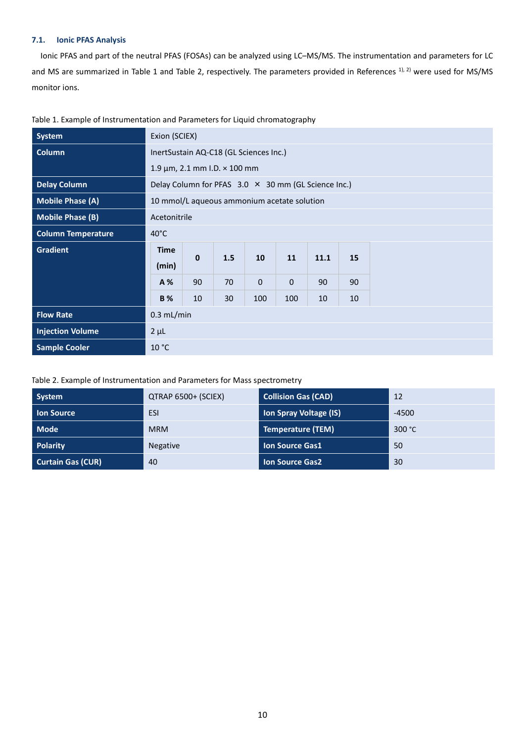# <span id="page-9-0"></span>**7.1. Ionic PFAS Analysis**

Ionic PFAS and part of the neutral PFAS (FOSAs) can be analyzed using LC–MS/MS. The instrumentation and parameters for LC and MS are summarized in [Table](#page-9-2) 1 and Table 2, respectively. The parameters provided in References  $1$ ,  $2$ ) were used for MS/MS monitor ions.

| System                    | Exion (SCIEX)                                       |                                             |     |     |              |      |    |
|---------------------------|-----------------------------------------------------|---------------------------------------------|-----|-----|--------------|------|----|
| Column                    | InertSustain AQ-C18 (GL Sciences Inc.)              |                                             |     |     |              |      |    |
|                           | $1.9 \,\mu m$ , 2.1 mm I.D. $\times$ 100 mm         |                                             |     |     |              |      |    |
| <b>Delay Column</b>       | Delay Column for PFAS 3.0 × 30 mm (GL Science Inc.) |                                             |     |     |              |      |    |
| <b>Mobile Phase (A)</b>   |                                                     | 10 mmol/L aqueous ammonium acetate solution |     |     |              |      |    |
| <b>Mobile Phase (B)</b>   | Acetonitrile                                        |                                             |     |     |              |      |    |
| <b>Column Temperature</b> | $40^{\circ}$ C                                      |                                             |     |     |              |      |    |
| Gradient                  | <b>Time</b>                                         | $\mathbf{0}$                                | 1.5 | 10  | 11           | 11.1 | 15 |
|                           | (min)                                               |                                             |     |     |              |      |    |
|                           | A %                                                 | 90                                          | 70  | 0   | $\mathbf{0}$ | 90   | 90 |
|                           | <b>B</b> %                                          | 10                                          | 30  | 100 | 100          | 10   | 10 |
| <b>Flow Rate</b>          | $0.3$ mL/min                                        |                                             |     |     |              |      |    |
| <b>Injection Volume</b>   | $2 \mu L$                                           |                                             |     |     |              |      |    |
| <b>Sample Cooler</b>      | 10 °C                                               |                                             |     |     |              |      |    |

<span id="page-9-1"></span>Table 1. Example of Instrumentation and Parameters for Liquid chromatography

# <span id="page-9-2"></span>Table 2. Example of Instrumentation and Parameters for Mass spectrometry

| System                   | QTRAP 6500+ (SCIEX) | <b>Collision Gas (CAD)</b>    | 12      |
|--------------------------|---------------------|-------------------------------|---------|
| <b>Ion Source</b>        | <b>ESI</b>          | <b>Ion Spray Voltage (IS)</b> | $-4500$ |
| <b>Mode</b>              | <b>MRM</b>          | <b>Temperature (TEM)</b>      | 300 °C  |
| <b>Polarity</b>          | <b>Negative</b>     | <b>Ion Source Gas1</b>        | -50     |
| <b>Curtain Gas (CUR)</b> | 40                  | <b>Ion Source Gas2</b>        | 30      |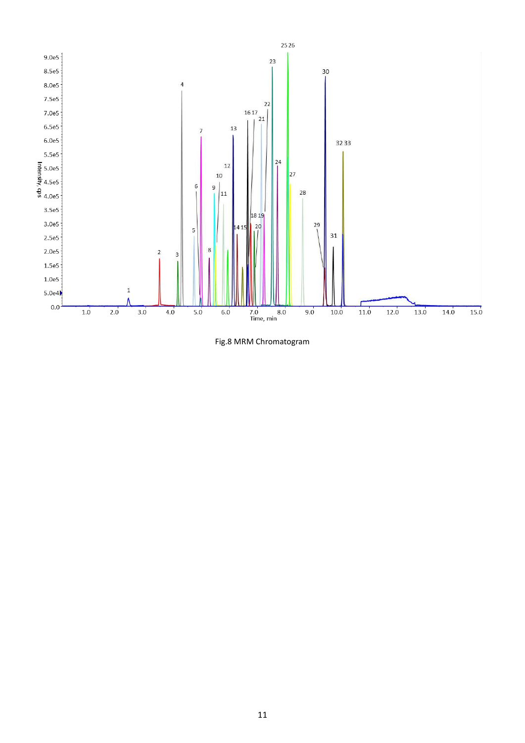

Fig.8 MRM Chromatogram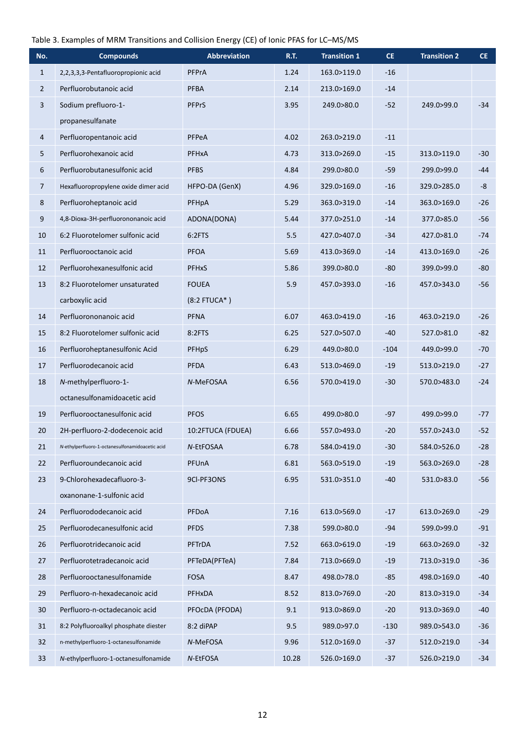# Table 3. Examples of MRM Transitions and Collision Energy (CE) of Ionic PFAS for LC–MS/MS

| No.            | <b>Compounds</b>                                       | Abbreviation                 | <b>R.T.</b> | <b>Transition 1</b> | <b>CE</b> | <b>Transition 2</b> | <b>CE</b> |
|----------------|--------------------------------------------------------|------------------------------|-------------|---------------------|-----------|---------------------|-----------|
| $\mathbf{1}$   | 2,2,3,3,3-Pentafluoropropionic acid                    | PFPrA                        | 1.24        | 163.0>119.0         | $-16$     |                     |           |
| $\overline{2}$ | Perfluorobutanoic acid                                 | <b>PFBA</b>                  | 2.14        | 213.0>169.0         | $-14$     |                     |           |
| 3              | Sodium prefluoro-1-<br>propanesulfanate                | <b>PFPrS</b>                 | 3.95        | 249.0>80.0          | $-52$     | 249.0>99.0          | $-34$     |
| 4              | Perfluoropentanoic acid                                | PFPeA                        | 4.02        | 263.0>219.0         | $-11$     |                     |           |
| 5              | Perfluorohexanoic acid                                 | PFHxA                        | 4.73        | 313.0>269.0         | $-15$     | 313.0>119.0         | $-30$     |
| 6              | Perfluorobutanesulfonic acid                           | <b>PFBS</b>                  | 4.84        | 299.0>80.0          | $-59$     | 299.0>99.0          | -44       |
| 7              | Hexafluoropropylene oxide dimer acid                   | HFPO-DA (GenX)               | 4.96        | 329.0>169.0         | $-16$     | 329.0>285.0         | -8        |
| 8              | Perfluoroheptanoic acid                                | PFHpA                        | 5.29        | 363.0>319.0         | $-14$     | 363.0>169.0         | $-26$     |
| 9              | 4,8-Dioxa-3H-perfluorononanoic acid                    | ADONA(DONA)                  | 5.44        | 377.0>251.0         | $-14$     | 377.0>85.0          | -56       |
| 10             | 6:2 Fluorotelomer sulfonic acid                        | 6:2FTS                       | 5.5         | 427.0>407.0         | $-34$     | 427.0>81.0          | $-74$     |
| $11\,$         | Perfluorooctanoic acid                                 | <b>PFOA</b>                  | 5.69        | 413.0>369.0         | $-14$     | 413.0>169.0         | $-26$     |
| 12             | Perfluorohexanesulfonic acid                           | <b>PFHxS</b>                 | 5.86        | 399.0>80.0          | $-80$     | 399.0>99.0          | -80       |
| 13             | 8:2 Fluorotelomer unsaturated<br>carboxylic acid       | <b>FOUEA</b><br>(8:2 FTUCA*) | 5.9         | 457.0>393.0         | $-16$     | 457.0>343.0         | -56       |
| 14             | Perfluorononanoic acid                                 | <b>PFNA</b>                  | 6.07        | 463.0>419.0         | $-16$     | 463.0>219.0         | $-26$     |
| 15             | 8:2 Fluorotelomer sulfonic acid                        | 8:2FTS                       | 6.25        | 527.0>507.0         | $-40$     | 527.0>81.0          | -82       |
| 16             | Perfluoroheptanesulfonic Acid                          | PFHpS                        | 6.29        | 449.0>80.0          | $-104$    | 449.0>99.0          | $-70$     |
| 17             | Perfluorodecanoic acid                                 | <b>PFDA</b>                  | 6.43        | 513.0>469.0         | $-19$     | 513.0>219.0         | $-27$     |
| 18             | N-methylperfluoro-1-<br>octanesulfonamidoacetic acid   | N-MeFOSAA                    | 6.56        | 570.0>419.0         | $-30$     | 570.0>483.0         | $-24$     |
| 19             | Perfluorooctanesulfonic acid                           | <b>PFOS</b>                  | 6.65        | 499.0>80.0          | $-97$     | 499.0>99.0          | $-77$     |
| 20             | 2H-perfluoro-2-dodecenoic acid                         | 10:2FTUCA (FDUEA)            | 6.66        | 557.0>493.0         | $-20$     | 557.0>243.0         | $-52$     |
| 21             | N-ethylperfluoro-1-octanesulfonamidoacetic acid        | N-EtFOSAA                    | 6.78        | 584.0>419.0         | $-30$     | 584.0>526.0         | $-28$     |
| 22             | Perfluoroundecanoic acid                               | PFUnA                        | 6.81        | 563.0>519.0         | $-19$     | 563.0>269.0         | $-28$     |
| 23             | 9-Chlorohexadecafluoro-3-<br>oxanonane-1-sulfonic acid | 9CI-PF3ONS                   | 6.95        | 531.0>351.0         | $-40$     | 531.0>83.0          | $-56$     |
| 24             | Perfluorododecanoic acid                               | PFDoA                        | 7.16        | 613.0>569.0         | $-17$     | 613.0>269.0         | $-29$     |
| 25             | Perfluorodecanesulfonic acid                           | <b>PFDS</b>                  | 7.38        | 599.0>80.0          | $-94$     | 599.0>99.0          | $-91$     |
| 26             | Perfluorotridecanoic acid                              | <b>PFTrDA</b>                | 7.52        | 663.0>619.0         | $-19$     | 663.0>269.0         | $-32$     |
| 27             | Perfluorotetradecanoic acid                            | PFTeDA(PFTeA)                | 7.84        | 713.0>669.0         | $-19$     | 713.0>319.0         | $-36$     |
| 28             | Perfluorooctanesulfonamide                             | <b>FOSA</b>                  | 8.47        | 498.0>78.0          | $-85$     | 498.0>169.0         | $-40$     |
| 29             | Perfluoro-n-hexadecanoic acid                          | PFHxDA                       | 8.52        | 813.0>769.0         | $-20$     | 813.0>319.0         | $-34$     |
| 30             | Perfluoro-n-octadecanoic acid                          | PFOCDA (PFODA)               | 9.1         | 913.0>869.0         | $-20$     | 913.0>369.0         | $-40$     |
| 31             | 8:2 Polyfluoroalkyl phosphate diester                  | 8:2 diPAP                    | 9.5         | 989.0>97.0          | $-130$    | 989.0>543.0         | $-36$     |
| 32             | n-methylperfluoro-1-octanesulfonamide                  | N-MeFOSA                     | 9.96        | 512.0>169.0         | $-37$     | 512.0>219.0         | -34       |
| 33             | N-ethylperfluoro-1-octanesulfonamide                   | N-EtFOSA                     | 10.28       | 526.0>169.0         | $-37$     | 526.0>219.0         | $-34$     |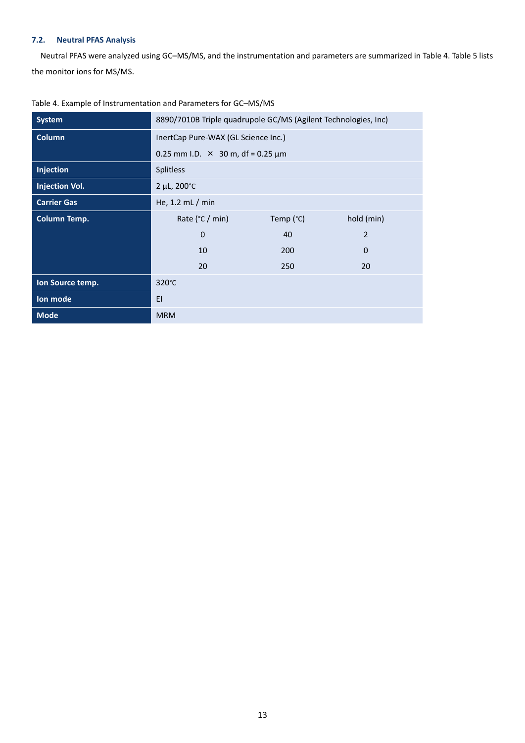# <span id="page-12-0"></span>**7.2. Neutral PFAS Analysis**

Neutral PFAS were analyzed using GC–MS/MS, and the instrumentation and parameters are summarized i[n Table](#page-12-1) 4. [Table](#page-14-0) 5 lists the monitor ions for MS/MS.

| <b>System</b>         | 8890/7010B Triple quadrupole GC/MS (Agilent Technologies, Inc) |                                          |                |  |  |  |  |
|-----------------------|----------------------------------------------------------------|------------------------------------------|----------------|--|--|--|--|
| <b>Column</b>         | InertCap Pure-WAX (GL Science Inc.)                            |                                          |                |  |  |  |  |
|                       |                                                                | 0.25 mm I.D. $\times$ 30 m, df = 0.25 µm |                |  |  |  |  |
| Injection             | <b>Splitless</b>                                               |                                          |                |  |  |  |  |
| <b>Injection Vol.</b> | $2 \mu L$ , $200^{\circ}C$                                     |                                          |                |  |  |  |  |
| <b>Carrier Gas</b>    | He, 1.2 mL / min                                               |                                          |                |  |  |  |  |
| Column Temp.          | Rate $(°C/min)$                                                | Temp (°C)                                | hold (min)     |  |  |  |  |
|                       | $\mathbf 0$                                                    | 40                                       | $\overline{2}$ |  |  |  |  |
|                       | 10                                                             | 200                                      | $\Omega$       |  |  |  |  |
|                       | 20                                                             | 250                                      | 20             |  |  |  |  |
| Ion Source temp.      | $320^{\circ}$ C                                                |                                          |                |  |  |  |  |
| Ion mode              | EI                                                             |                                          |                |  |  |  |  |
| <b>Mode</b>           | <b>MRM</b>                                                     |                                          |                |  |  |  |  |

<span id="page-12-1"></span>Table 4. Example of Instrumentation and Parameters for GC–MS/MS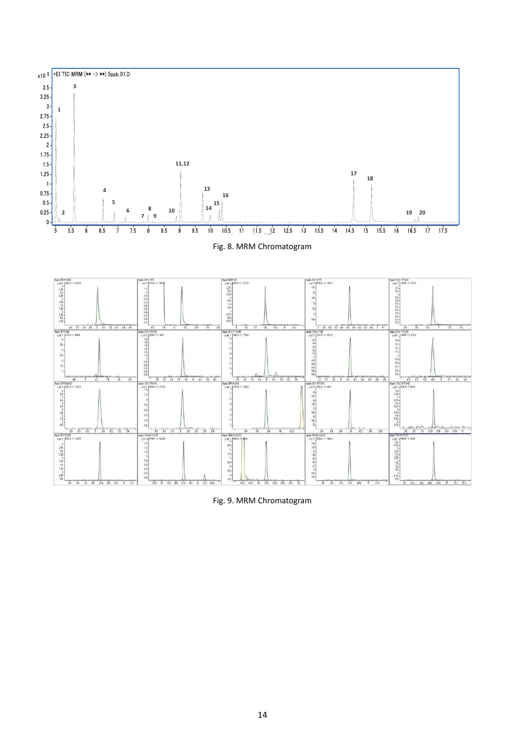

Fig. 9. MRM Chromatogram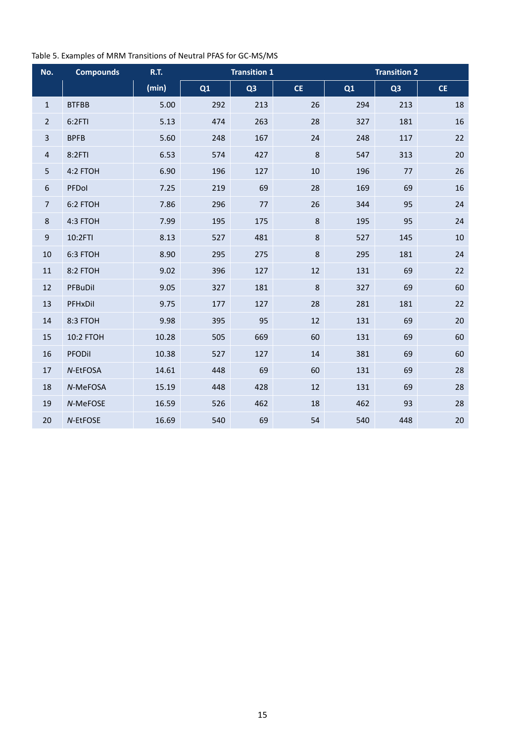| No.                     | <b>Compounds</b> | R.T.  |     | <b>Transition 1</b> |                |     | <b>Transition 2</b> |           |
|-------------------------|------------------|-------|-----|---------------------|----------------|-----|---------------------|-----------|
|                         |                  | (min) | Q1  | Q3                  | <b>CE</b>      | Q1  | Q3                  | <b>CE</b> |
| $\mathbf{1}$            | <b>BTFBB</b>     | 5.00  | 292 | 213                 | 26             | 294 | 213                 | 18        |
| $\overline{2}$          | 6:2FTI           | 5.13  | 474 | 263                 | 28             | 327 | 181                 | 16        |
| $\mathsf 3$             | <b>BPFB</b>      | 5.60  | 248 | 167                 | 24             | 248 | 117                 | 22        |
| $\overline{\mathbf{4}}$ | 8:2FTI           | 6.53  | 574 | 427                 | $\,8\,$        | 547 | 313                 | 20        |
| $\mathsf S$             | 4:2 FTOH         | 6.90  | 196 | 127                 | 10             | 196 | 77                  | 26        |
| $\boldsymbol{6}$        | PFDol            | 7.25  | 219 | 69                  | 28             | 169 | 69                  | 16        |
| $\overline{7}$          | 6:2 FTOH         | 7.86  | 296 | 77                  | 26             | 344 | 95                  | 24        |
| $\bf 8$                 | 4:3 FTOH         | 7.99  | 195 | 175                 | 8              | 195 | 95                  | 24        |
| $\boldsymbol{9}$        | 10:2FTI          | 8.13  | 527 | 481                 | $\,8\,$        | 527 | 145                 | 10        |
| 10                      | 6:3 FTOH         | 8.90  | 295 | 275                 | 8              | 295 | 181                 | 24        |
| 11                      | 8:2 FTOH         | 9.02  | 396 | 127                 | 12             | 131 | 69                  | 22        |
| 12                      | PFBuDil          | 9.05  | 327 | 181                 | $8\phantom{1}$ | 327 | 69                  | 60        |
| 13                      | PFHxDil          | 9.75  | 177 | 127                 | 28             | 281 | 181                 | 22        |
| 14                      | 8:3 FTOH         | 9.98  | 395 | 95                  | 12             | 131 | 69                  | 20        |
| 15                      | 10:2 FTOH        | 10.28 | 505 | 669                 | 60             | 131 | 69                  | 60        |
| 16                      | <b>PFODil</b>    | 10.38 | 527 | 127                 | 14             | 381 | 69                  | 60        |
| 17                      | N-EtFOSA         | 14.61 | 448 | 69                  | 60             | 131 | 69                  | 28        |
| 18                      | N-MeFOSA         | 15.19 | 448 | 428                 | 12             | 131 | 69                  | 28        |
| 19                      | N-MeFOSE         | 16.59 | 526 | 462                 | 18             | 462 | 93                  | 28        |
| 20                      | N-EtFOSE         | 16.69 | 540 | 69                  | 54             | 540 | 448                 | 20        |

# <span id="page-14-0"></span>Table 5. Examples of MRM Transitions of Neutral PFAS for GC-MS/MS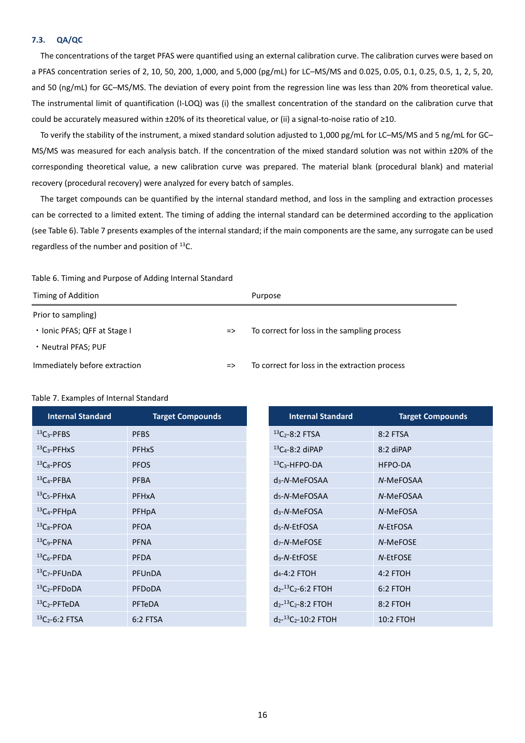### <span id="page-15-0"></span>**7.3. QA/QC**

The concentrations of the target PFAS were quantified using an external calibration curve. The calibration curves were based on a PFAS concentration series of 2, 10, 50, 200, 1,000, and 5,000 (pg/mL) for LC–MS/MS and 0.025, 0.05, 0.1, 0.25, 0.5, 1, 2, 5, 20, and 50 (ng/mL) for GC–MS/MS. The deviation of every point from the regression line was less than 20% from theoretical value. The instrumental limit of quantification (I-LOQ) was (i) the smallest concentration of the standard on the calibration curve that could be accurately measured within ±20% of its theoretical value, or (ii) a signal-to-noise ratio of ≥10.

To verify the stability of the instrument, a mixed standard solution adjusted to 1,000 pg/mL for LC–MS/MS and 5 ng/mL for GC– MS/MS was measured for each analysis batch. If the concentration of the mixed standard solution was not within ±20% of the corresponding theoretical value, a new calibration curve was prepared. The material blank (procedural blank) and material recovery (procedural recovery) were analyzed for every batch of samples.

The target compounds can be quantified by the internal standard method, and loss in the sampling and extraction processes can be corrected to a limited extent. The timing of adding the internal standard can be determined according to the application (see [Table](#page-15-1) 6). [Table](#page-15-2) 7 presents examples of the internal standard; if the main components are the same, any surrogate can be used regardless of the number and position of  $^{13}$ C.

<span id="page-15-1"></span>Table 6. Timing and Purpose of Adding Internal Standard

| Timing of Addition            |               | Purpose                                       |
|-------------------------------|---------------|-----------------------------------------------|
| Prior to sampling)            |               |                                               |
| • Ionic PFAS; QFF at Stage I  | $\Rightarrow$ | To correct for loss in the sampling process   |
| . Neutral PFAS; PUF           |               |                                               |
| Immediately before extraction | $\Rightarrow$ | To correct for loss in the extraction process |

#### <span id="page-15-2"></span>Table 7. Examples of Internal Standard

| <b>Internal Standard</b> | <b>Target Compounds</b> | <b>Internal Standard</b>                        |
|--------------------------|-------------------------|-------------------------------------------------|
| ${}^{13}C_3$ -PFBS       | <b>PFBS</b>             | ${}^{13}C_2 - 8:2$ FTSA                         |
| $^{13}C_3$ -PFHxS        | <b>PFH<sub>x</sub>S</b> | ${}^{13}C_4 - 8:2$ dipap                        |
| ${}^{13}C_8$ -PFOS       | <b>PFOS</b>             | ${}^{13}C_3$ -HFPO-DA                           |
| ${}^{13}C_4$ -PFBA       | <b>PFBA</b>             | $d_3$ -N-MeFOSAA                                |
| $^{13}C_5$ -PFHxA        | <b>PFH<sub>x</sub>A</b> | d <sub>5</sub> -N-MeFOSAA                       |
| ${}^{13}C_4$ -PFHpA      | PFHpA                   | $d_3$ -N-MeFOSA                                 |
| ${}^{13}C_8$ -PFOA       | <b>PFOA</b>             | $d_5$ -N-EtFOSA                                 |
| $^{13}C_9$ -PFNA         | <b>PFNA</b>             | d <sub>7</sub> -N-MeFOSE                        |
| ${}^{13}C_6$ -PFDA       | <b>PFDA</b>             | d <sub>9</sub> -N-EtFOSE                        |
| $^{13}C_7$ -PFUnDA       | PFUnDA                  | $d_4 - 4:2$ FTOH                                |
| ${}^{13}C_2$ -PFDoDA     | <b>PFDoDA</b>           | $d_2 - 13C_2 - 6:2$ FTOH                        |
| $^{13}C_2$ -PFTeDA       | <b>PFTeDA</b>           | $d_2$ - <sup>13</sup> C <sub>2</sub> -8:2 FTOH  |
| $^{13}C_{2} - 6:2$ FTSA  | 6:2 FTSA                | $d_2$ - <sup>13</sup> C <sub>2</sub> -10:2 FTOH |

| <b>Internal Standard</b>                         | <b>Target Compounds</b> |
|--------------------------------------------------|-------------------------|
| $^{13}C_{2}$ -8:2 FTSA                           | 8:2 FTSA                |
| ${}^{13}C_{4} - 8:2$ dipap                       | $8:2$ dipAP             |
| $^{13}C_3$ -HFPO-DA                              | HFPO-DA                 |
| $d_3$ -N-MeFOSAA                                 | N-MeFOSAA               |
| d <sub>5</sub> -N-MeFOSAA                        | N-MeFOSAA               |
| $d_3$ -N-MeFOSA                                  | N-MeFOSA                |
| $d_5$ -N-EtFOSA                                  | N-EtFOSA                |
| d <sub>7</sub> -N-MeFOSE                         | N-MeFOSE                |
| d <sub>9</sub> -N-EtFOSE                         | N-EtFOSE                |
| $d_4 - 4:2$ FTOH                                 | 4:2 FTOH                |
| $d_{2}$ - <sup>13</sup> C <sub>2</sub> -6:2 FTOH | 6:2 FTOH                |
| $d_2$ - <sup>13</sup> C <sub>2</sub> -8:2 FTOH   | 8:2 FTOH                |
| $d_2$ - <sup>13</sup> C <sub>2</sub> -10:2 FTOH  | 10:2 FTOH               |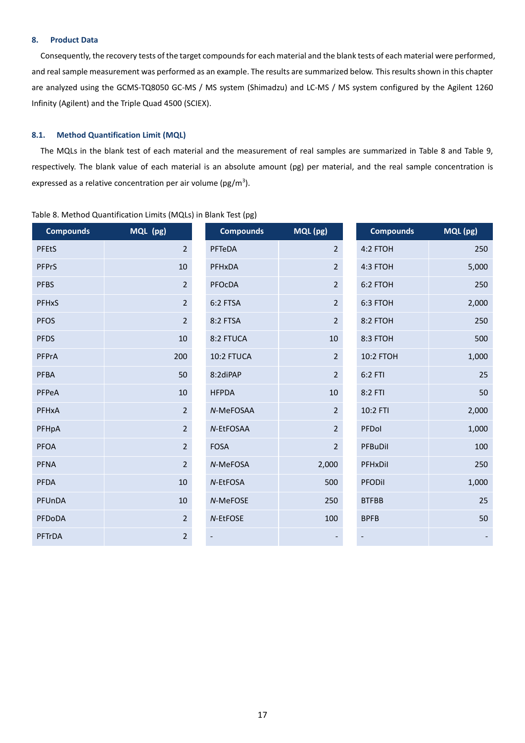### <span id="page-16-0"></span>**8. Product Data**

Consequently, the recovery tests of the target compounds for each material and the blank tests of each material were performed, and real sample measurement was performed as an example. The results are summarized below. This results shown in this chapter are analyzed using the GCMS-TQ8050 GC-MS / MS system (Shimadzu) and LC-MS / MS system configured by the Agilent 1260 Infinity (Agilent) and the Triple Quad 4500 (SCIEX).

# <span id="page-16-1"></span>**8.1. Method Quantification Limit (MQL)**

The MQLs in the blank test of each material and the measurement of real samples are summarized in [Table](#page-16-2) 8 and [Table](#page-17-0) 9, respectively. The blank value of each material is an absolute amount (pg) per material, and the real sample concentration is expressed as a relative concentration per air volume ( $pg/m<sup>3</sup>$ ).

| <b>Compounds</b> | MQL (pg)       | <b>Compounds</b> | MQL (pg)       | <b>Compounds</b> | MQL (pg)       |
|------------------|----------------|------------------|----------------|------------------|----------------|
| <b>PFEtS</b>     | $\overline{2}$ | PFTeDA           | $\overline{2}$ | 4:2 FTOH         | 250            |
| <b>PFPrS</b>     | 10             | PFHxDA           | $\overline{2}$ | 4:3 FTOH         | 5,000          |
| <b>PFBS</b>      | $\overline{2}$ | PFOcDA           | $\overline{2}$ | 6:2 FTOH         | 250            |
| PFHxS            | $\overline{2}$ | 6:2 FTSA         | $\overline{2}$ | 6:3 FTOH         | 2,000          |
| <b>PFOS</b>      | $\overline{2}$ | 8:2 FTSA         | $\overline{2}$ | 8:2 FTOH         | 250            |
| <b>PFDS</b>      | 10             | 8:2 FTUCA        | 10             | 8:3 FTOH         | 500            |
| PFPrA            | 200            | 10:2 FTUCA       | $\overline{2}$ | 10:2 FTOH        | 1,000          |
| PFBA             | 50             | 8:2diPAP         | $\overline{2}$ | 6:2 FTI          | 25             |
| PFPeA            | 10             | <b>HFPDA</b>     | 10             | 8:2 FTI          | 50             |
| PFHxA            | $\overline{2}$ | N-MeFOSAA        | $\overline{2}$ | 10:2 FTI         | 2,000          |
| PFHpA            | $\overline{2}$ | N-EtFOSAA        | $\overline{2}$ | PFDol            | 1,000          |
| <b>PFOA</b>      | $\overline{2}$ | <b>FOSA</b>      | $\overline{2}$ | PFBuDil          | 100            |
| <b>PFNA</b>      | $\overline{2}$ | N-MeFOSA         | 2,000          | PFHxDil          | 250            |
| PFDA             | 10             | N-EtFOSA         | 500            | <b>PFODil</b>    | 1,000          |
| PFUnDA           | 10             | N-MeFOSE         | 250            | <b>BTFBB</b>     | 25             |
| PFDoDA           | $\overline{2}$ | N-EtFOSE         | 100            | <b>BPFB</b>      | 5 <sub>C</sub> |
| PFTrDA           | $\overline{2}$ |                  |                |                  |                |

<span id="page-16-2"></span>Table 8. Method Quantification Limits (MQLs) in Blank Test (pg)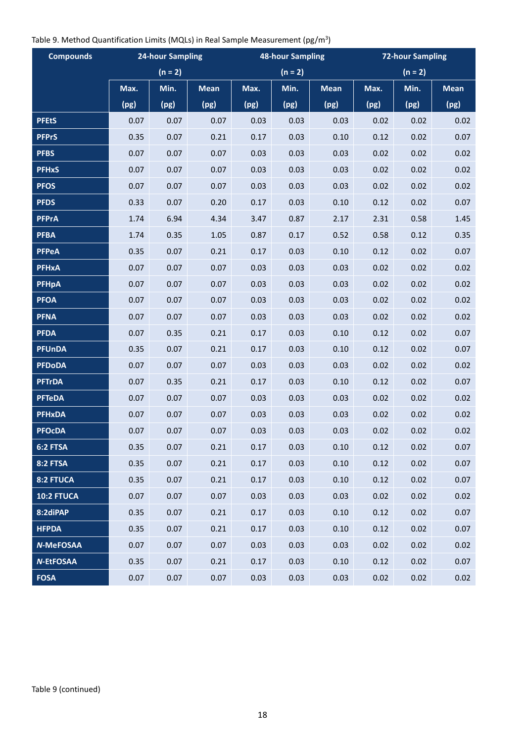# <span id="page-17-0"></span>Table 9. Method Quantification Limits (MQLs) in Real Sample Measurement (pg/m<sup>3</sup>)

| <b>Compounds</b>  | <b>24-hour Sampling</b> |      |             |           | <b>48-hour Sampling</b> |             | <b>72-hour Sampling</b> |      |             |
|-------------------|-------------------------|------|-------------|-----------|-------------------------|-------------|-------------------------|------|-------------|
|                   | $(n = 2)$               |      |             | $(n = 2)$ |                         |             | $(n = 2)$               |      |             |
|                   | Max.                    | Min. | <b>Mean</b> | Max.      | Min.                    | <b>Mean</b> | Max.                    | Min. | <b>Mean</b> |
|                   | (pg)                    | (pg) | (pg)        | (pg)      | (pg)                    | (pg)        | (pg)                    | (pg) | (pg)        |
| <b>PFEtS</b>      | 0.07                    | 0.07 | 0.07        | 0.03      | 0.03                    | 0.03        | 0.02                    | 0.02 | 0.02        |
| <b>PFPrS</b>      | 0.35                    | 0.07 | 0.21        | 0.17      | 0.03                    | 0.10        | 0.12                    | 0.02 | 0.07        |
| <b>PFBS</b>       | 0.07                    | 0.07 | 0.07        | 0.03      | 0.03                    | 0.03        | 0.02                    | 0.02 | 0.02        |
| <b>PFHxS</b>      | 0.07                    | 0.07 | 0.07        | 0.03      | 0.03                    | 0.03        | 0.02                    | 0.02 | 0.02        |
| <b>PFOS</b>       | 0.07                    | 0.07 | 0.07        | 0.03      | 0.03                    | 0.03        | 0.02                    | 0.02 | 0.02        |
| <b>PFDS</b>       | 0.33                    | 0.07 | 0.20        | 0.17      | 0.03                    | 0.10        | 0.12                    | 0.02 | 0.07        |
| <b>PFPrA</b>      | 1.74                    | 6.94 | 4.34        | 3.47      | 0.87                    | 2.17        | 2.31                    | 0.58 | 1.45        |
| <b>PFBA</b>       | 1.74                    | 0.35 | 1.05        | 0.87      | 0.17                    | 0.52        | 0.58                    | 0.12 | 0.35        |
| <b>PFPeA</b>      | 0.35                    | 0.07 | 0.21        | 0.17      | 0.03                    | 0.10        | 0.12                    | 0.02 | 0.07        |
| <b>PFHxA</b>      | 0.07                    | 0.07 | 0.07        | 0.03      | 0.03                    | 0.03        | 0.02                    | 0.02 | 0.02        |
| <b>PFHpA</b>      | 0.07                    | 0.07 | 0.07        | 0.03      | 0.03                    | 0.03        | 0.02                    | 0.02 | 0.02        |
| <b>PFOA</b>       | 0.07                    | 0.07 | 0.07        | 0.03      | 0.03                    | 0.03        | 0.02                    | 0.02 | 0.02        |
| <b>PFNA</b>       | 0.07                    | 0.07 | 0.07        | 0.03      | 0.03                    | 0.03        | 0.02                    | 0.02 | 0.02        |
| <b>PFDA</b>       | 0.07                    | 0.35 | 0.21        | 0.17      | 0.03                    | 0.10        | 0.12                    | 0.02 | 0.07        |
| <b>PFUnDA</b>     | 0.35                    | 0.07 | 0.21        | 0.17      | 0.03                    | 0.10        | 0.12                    | 0.02 | 0.07        |
| <b>PFDoDA</b>     | 0.07                    | 0.07 | 0.07        | 0.03      | 0.03                    | 0.03        | 0.02                    | 0.02 | 0.02        |
| <b>PFTrDA</b>     | 0.07                    | 0.35 | 0.21        | 0.17      | 0.03                    | 0.10        | 0.12                    | 0.02 | 0.07        |
| <b>PFTeDA</b>     | 0.07                    | 0.07 | 0.07        | 0.03      | 0.03                    | 0.03        | 0.02                    | 0.02 | 0.02        |
| <b>PFHxDA</b>     | 0.07                    | 0.07 | 0.07        | 0.03      | 0.03                    | 0.03        | 0.02                    | 0.02 | 0.02        |
| <b>PFOcDA</b>     | 0.07                    | 0.07 | 0.07        | 0.03      | 0.03                    | 0.03        | 0.02                    | 0.02 | 0.02        |
| 6:2 FTSA          | 0.35                    | 0.07 | 0.21        | 0.17      | 0.03                    | 0.10        | 0.12                    | 0.02 | 0.07        |
| <b>8:2 FTSA</b>   | 0.35                    | 0.07 | 0.21        | 0.17      | 0.03                    | 0.10        | 0.12                    | 0.02 | 0.07        |
| 8:2 FTUCA         | 0.35                    | 0.07 | 0.21        | 0.17      | 0.03                    | 0.10        | 0.12                    | 0.02 | 0.07        |
| <b>10:2 FTUCA</b> | 0.07                    | 0.07 | 0.07        | 0.03      | 0.03                    | 0.03        | 0.02                    | 0.02 | 0.02        |
| 8:2diPAP          | 0.35                    | 0.07 | 0.21        | 0.17      | 0.03                    | 0.10        | 0.12                    | 0.02 | 0.07        |
| <b>HFPDA</b>      | 0.35                    | 0.07 | 0.21        | 0.17      | 0.03                    | 0.10        | 0.12                    | 0.02 | 0.07        |
| <b>N-MeFOSAA</b>  | 0.07                    | 0.07 | 0.07        | 0.03      | 0.03                    | 0.03        | 0.02                    | 0.02 | 0.02        |
| <b>N-EtFOSAA</b>  | 0.35                    | 0.07 | 0.21        | 0.17      | 0.03                    | 0.10        | 0.12                    | 0.02 | 0.07        |
| <b>FOSA</b>       | 0.07                    | 0.07 | 0.07        | 0.03      | 0.03                    | 0.03        | 0.02                    | 0.02 | 0.02        |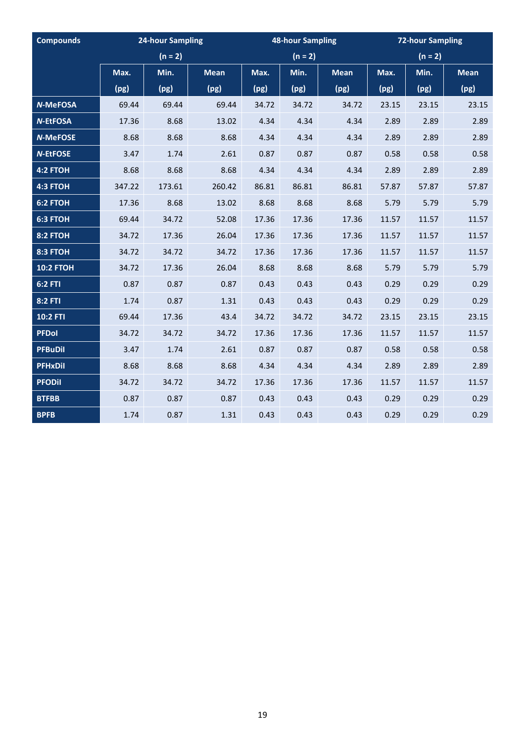| <b>Compounds</b> | <b>24-hour Sampling</b> |           |             |       | <b>48-hour Sampling</b> |             |       | <b>72-hour Sampling</b> |             |  |
|------------------|-------------------------|-----------|-------------|-------|-------------------------|-------------|-------|-------------------------|-------------|--|
|                  |                         | $(n = 2)$ |             |       | $(n = 2)$               |             |       | $(n = 2)$               |             |  |
|                  | Max.                    | Min.      | <b>Mean</b> | Max.  | Min.                    | <b>Mean</b> | Max.  | Min.                    | <b>Mean</b> |  |
|                  | (pg)                    | (pg)      | (pg)        | (pg)  | (pg)                    | (pg)        | (pg)  | (pg)                    | (pg)        |  |
| N-MeFOSA         | 69.44                   | 69.44     | 69.44       | 34.72 | 34.72                   | 34.72       | 23.15 | 23.15                   | 23.15       |  |
| <b>N-EtFOSA</b>  | 17.36                   | 8.68      | 13.02       | 4.34  | 4.34                    | 4.34        | 2.89  | 2.89                    | 2.89        |  |
| <b>N-MeFOSE</b>  | 8.68                    | 8.68      | 8.68        | 4.34  | 4.34                    | 4.34        | 2.89  | 2.89                    | 2.89        |  |
| <b>N-EtFOSE</b>  | 3.47                    | 1.74      | 2.61        | 0.87  | 0.87                    | 0.87        | 0.58  | 0.58                    | 0.58        |  |
| 4:2 FTOH         | 8.68                    | 8.68      | 8.68        | 4.34  | 4.34                    | 4.34        | 2.89  | 2.89                    | 2.89        |  |
| 4:3 FTOH         | 347.22                  | 173.61    | 260.42      | 86.81 | 86.81                   | 86.81       | 57.87 | 57.87                   | 57.87       |  |
| 6:2 FTOH         | 17.36                   | 8.68      | 13.02       | 8.68  | 8.68                    | 8.68        | 5.79  | 5.79                    | 5.79        |  |
| 6:3 FTOH         | 69.44                   | 34.72     | 52.08       | 17.36 | 17.36                   | 17.36       | 11.57 | 11.57                   | 11.57       |  |
| 8:2 FTOH         | 34.72                   | 17.36     | 26.04       | 17.36 | 17.36                   | 17.36       | 11.57 | 11.57                   | 11.57       |  |
| 8:3 FTOH         | 34.72                   | 34.72     | 34.72       | 17.36 | 17.36                   | 17.36       | 11.57 | 11.57                   | 11.57       |  |
| <b>10:2 FTOH</b> | 34.72                   | 17.36     | 26.04       | 8.68  | 8.68                    | 8.68        | 5.79  | 5.79                    | 5.79        |  |
| 6:2 FTI          | 0.87                    | 0.87      | 0.87        | 0.43  | 0.43                    | 0.43        | 0.29  | 0.29                    | 0.29        |  |
| 8:2 FTI          | 1.74                    | 0.87      | 1.31        | 0.43  | 0.43                    | 0.43        | 0.29  | 0.29                    | 0.29        |  |
| 10:2 FTI         | 69.44                   | 17.36     | 43.4        | 34.72 | 34.72                   | 34.72       | 23.15 | 23.15                   | 23.15       |  |
| <b>PFDol</b>     | 34.72                   | 34.72     | 34.72       | 17.36 | 17.36                   | 17.36       | 11.57 | 11.57                   | 11.57       |  |
| <b>PFBuDil</b>   | 3.47                    | 1.74      | 2.61        | 0.87  | 0.87                    | 0.87        | 0.58  | 0.58                    | 0.58        |  |
| <b>PFHxDil</b>   | 8.68                    | 8.68      | 8.68        | 4.34  | 4.34                    | 4.34        | 2.89  | 2.89                    | 2.89        |  |
| <b>PFODil</b>    | 34.72                   | 34.72     | 34.72       | 17.36 | 17.36                   | 17.36       | 11.57 | 11.57                   | 11.57       |  |
| <b>BTFBB</b>     | 0.87                    | 0.87      | 0.87        | 0.43  | 0.43                    | 0.43        | 0.29  | 0.29                    | 0.29        |  |
| <b>BPFB</b>      | 1.74                    | 0.87      | 1.31        | 0.43  | 0.43                    | 0.43        | 0.29  | 0.29                    | 0.29        |  |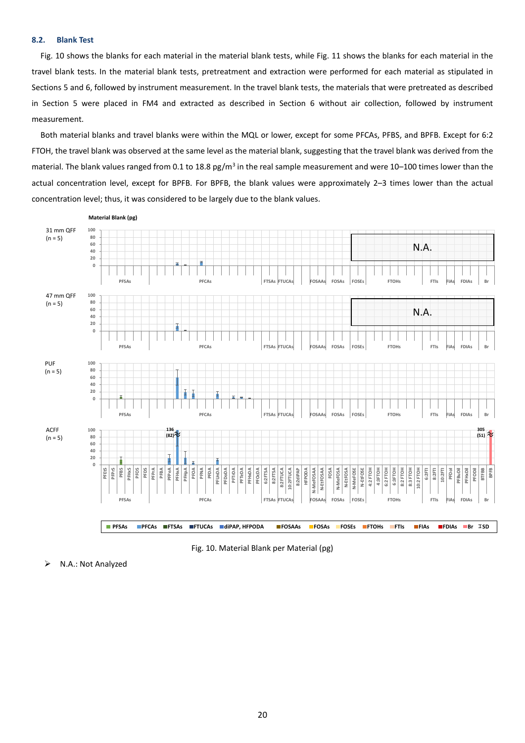# <span id="page-19-0"></span>**8.2. Blank Test**

[Fig. 10](#page-19-1) shows the blanks for each material in the material blank tests, while [Fig. 11](#page-20-0) shows the blanks for each material in the travel blank tests. In the material blank tests, pretreatment and extraction were performed for each material as stipulated in Sections [5](#page-3-1) and [6,](#page-5-0) followed by instrument measurement. In the travel blank tests, the materials that were pretreated as described in Section [5](#page-3-1) were placed in FM4 and extracted as described in Section [6](#page-5-0) without air collection, followed by instrument measurement.

Both material blanks and travel blanks were within the MQL or lower, except for some PFCAs, PFBS, and BPFB. Except for 6:2 FTOH, the travel blank was observed at the same level as the material blank, suggesting that the travel blank was derived from the material. The blank values ranged from 0.1 to 18.8 pg/m<sup>3</sup> in the real sample measurement and were 10–100 times lower than the actual concentration level, except for BPFB. For BPFB, the blank values were approximately 2–3 times lower than the actual concentration level; thus, it was considered to be largely due to the blank values.



Fig. 10. Material Blank per Material (pg)

<span id="page-19-1"></span>➢ N.A.: Not Analyzed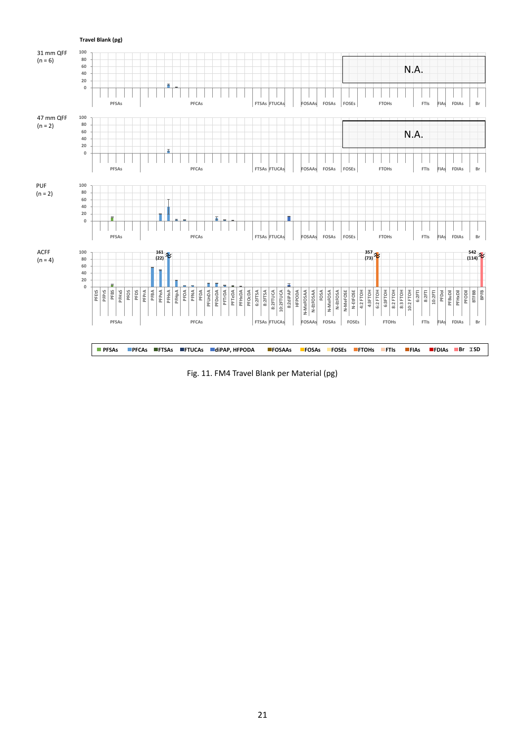

<span id="page-20-0"></span>Fig. 11. FM4 Travel Blank per Material (pg)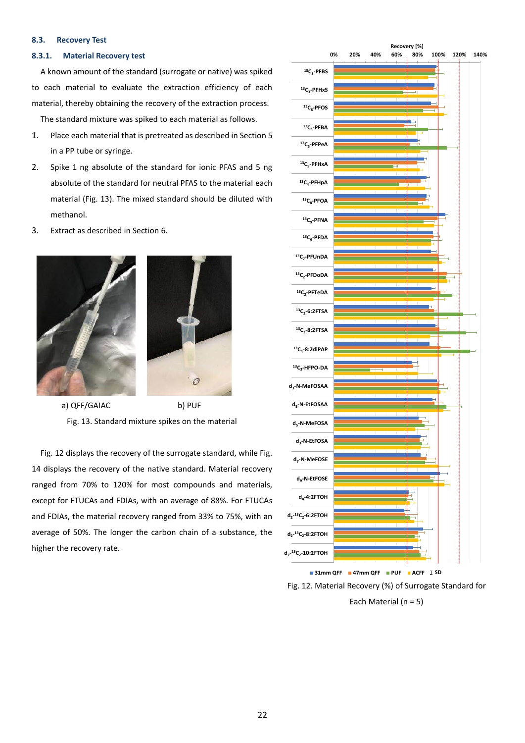### **8.3. Recovery Test**

### <span id="page-21-0"></span>**8.3.1. Material Recovery test**

A known amount of the standard (surrogate or native) was spiked to each material to evaluate the extraction efficiency of each material, thereby obtaining the recovery of the extraction process.

The standard mixture was spiked to each material as follows.

- 1. Place each material that is pretreated as described in Sectio[n 5](#page-3-1) in a PP tube or syringe.
- 2. Spike 1 ng absolute of the standard for ionic PFAS and 5 ng absolute of the standard for neutral PFAS to the material each material [\(Fig. 13\)](#page-21-1). The mixed standard should be diluted with methanol.
- 3. Extract as described in Sectio[n 6.](#page-5-0)





<span id="page-21-1"></span>a) QFF/GAIAC b) PUF Fig. 13. Standard mixture spikes on the material

[Fig. 12](#page-21-2) displays the recovery of the surrogate standard, while [Fig.](#page-22-0)  [14](#page-22-0) displays the recovery of the native standard. Material recovery ranged from 70% to 120% for most compounds and materials, except for FTUCAs and FDIAs, with an average of 88%. For FTUCAs and FDIAs, the material recovery ranged from 33% to 75%, with an average of 50%. The longer the carbon chain of a substance, the higher the recovery rate.



<span id="page-21-2"></span>Each Material (n = 5)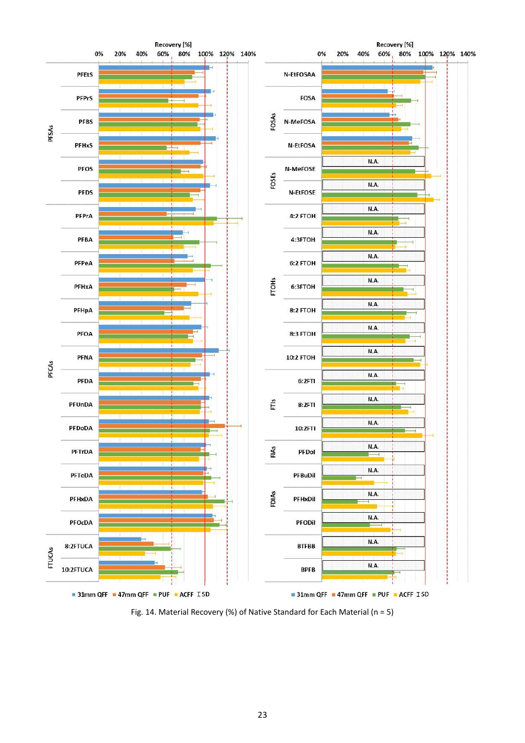

<span id="page-22-0"></span>Fig. 14. Material Recovery (%) of Native Standard for Each Material (n = 5)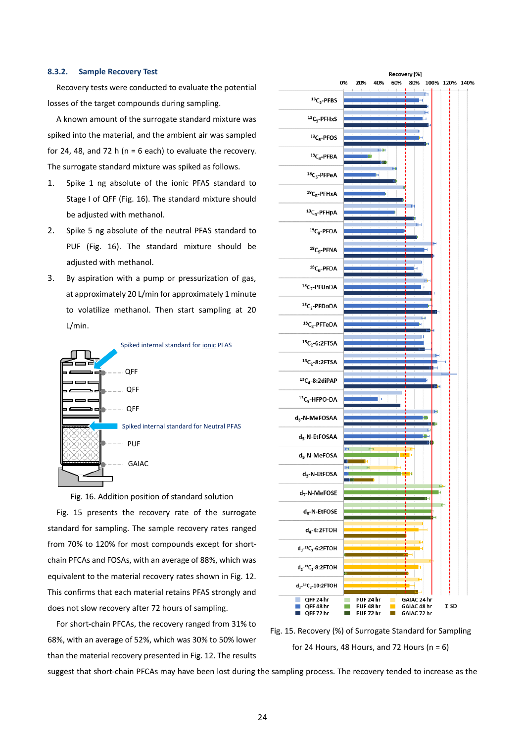# <span id="page-23-0"></span>**8.3.2. Sample Recovery Test**

Recovery tests were conducted to evaluate the potential losses of the target compounds during sampling.

A known amount of the surrogate standard mixture was spiked into the material, and the ambient air was sampled for 24, 48, and 72 h ( $n = 6$  each) to evaluate the recovery. The surrogate standard mixture was spiked as follows.

- 1. Spike 1 ng absolute of the ionic PFAS standard to Stage I of QFF [\(Fig. 16\)](#page-23-1). The standard mixture should be adjusted with methanol.
- 2. Spike 5 ng absolute of the neutral PFAS standard to PUF [\(Fig. 16\)](#page-23-1). The standard mixture should be adjusted with methanol.
- 3. By aspiration with a pump or pressurization of gas, at approximately 20 L/min for approximately 1 minute to volatilize methanol. Then start sampling at 20 L/min.



Fig. 16. Addition position of standard solution

<span id="page-23-1"></span>[Fig. 15](#page-23-2) presents the recovery rate of the surrogate standard for sampling. The sample recovery rates ranged from 70% to 120% for most compounds except for shortchain PFCAs and FOSAs, with an average of 88%, which was equivalent to the material recovery rates shown i[n Fig. 12.](#page-21-2)  This confirms that each material retains PFAS strongly and does not slow recovery after 72 hours of sampling.

For short-chain PFCAs, the recovery ranged from 31% to 68%, with an average of 52%, which was 30% to 50% lower than the material recovery presented in [Fig. 12.](#page-21-2) The results



<span id="page-23-2"></span>

suggest that short-chain PFCAs may have been lost during the sampling process. The recovery tended to increase as the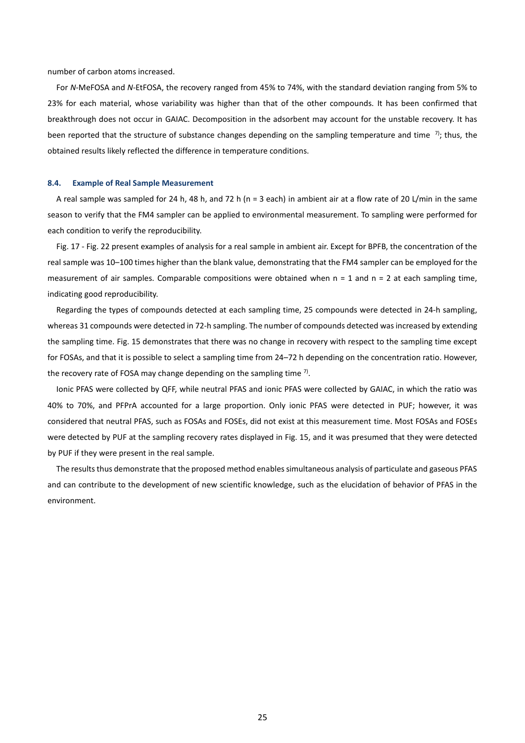number of carbon atoms increased.

<span id="page-24-1"></span>For *N*-MeFOSA and *N*-EtFOSA, the recovery ranged from 45% to 74%, with the standard deviation ranging from 5% to 23% for each material, whose variability was higher than that of the other compounds. It has been confirmed that breakthrough does not occur in GAIAC. Decomposition in the adsorbent may account for the unstable recovery. It has been reported that the structure of substance changes depending on the sampling temperature and time  $\frac{1}{2}$ ; thus, the obtained results likely reflected the difference in temperature conditions.

#### <span id="page-24-0"></span>**8.4. Example of Real Sample Measurement**

A real sample was sampled for 24 h, 48 h, and 72 h (n = 3 each) in ambient air at a flow rate of 20 L/min in the same season to verify that the FM4 sampler can be applied to environmental measurement. To sampling were performed for each condition to verify the reproducibility.

[Fig. 17](#page-25-0) - [Fig. 22](#page-30-0) present examples of analysis for a real sample in ambient air. Except for BPFB, the concentration of the real sample was 10–100 times higher than the blank value, demonstrating that the FM4 sampler can be employed for the measurement of air samples. Comparable compositions were obtained when  $n = 1$  and  $n = 2$  at each sampling time, indicating good reproducibility.

Regarding the types of compounds detected at each sampling time, 25 compounds were detected in 24-h sampling, whereas 31 compounds were detected in 72-h sampling. The number of compounds detected wasincreased by extending the sampling time[. Fig. 15](#page-23-2) demonstrates that there was no change in recovery with respect to the sampling time except for FOSAs, and that it is possible to select a sampling time from 24–72 h depending on the concentration ratio. However, the recovery rate of FOSA may change depending on the sampling time  $7$ .

Ionic PFAS were collected by QFF, while neutral PFAS and ionic PFAS were collected by GAIAC, in which the ratio was 40% to 70%, and PFPrA accounted for a large proportion. Only ionic PFAS were detected in PUF; however, it was considered that neutral PFAS, such as FOSAs and FOSEs, did not exist at this measurement time. Most FOSAs and FOSEs were detected by PUF at the sampling recovery rates displayed in [Fig. 15,](#page-23-2) and it was presumed that they were detected by PUF if they were present in the real sample.

The results thus demonstrate that the proposed method enables simultaneous analysis of particulate and gaseous PFAS and can contribute to the development of new scientific knowledge, such as the elucidation of behavior of PFAS in the environment.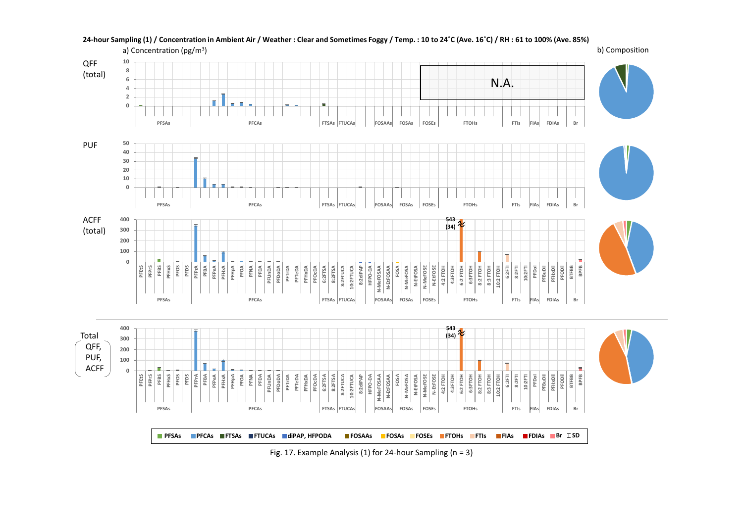

24-hour Sampling (1) / Concentration in Ambient Air / Weather: Clear and Sometimes Foggy / Temp.: 10 to 24°C (Ave. 16°C) / RH: 61 to 100% (Ave. 85%) a) Concentration ( $pg/m<sup>3</sup>$ )

<span id="page-25-0"></span>Fig. 17. Example Analysis (1) for 24-hour Sampling ( $n = 3$ )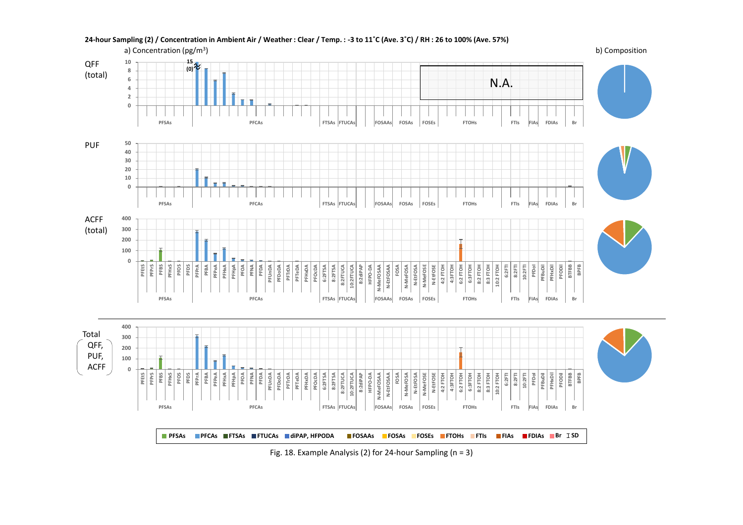

# 24-hour Sampling (2) / Concentration in Ambient Air / Weather : Clear / Temp. : -3 to 11°C (Ave. 3°C) / RH : 26 to 100% (Ave. 57%)

Fig. 18. Example Analysis (2) for 24-hour Sampling ( $n = 3$ )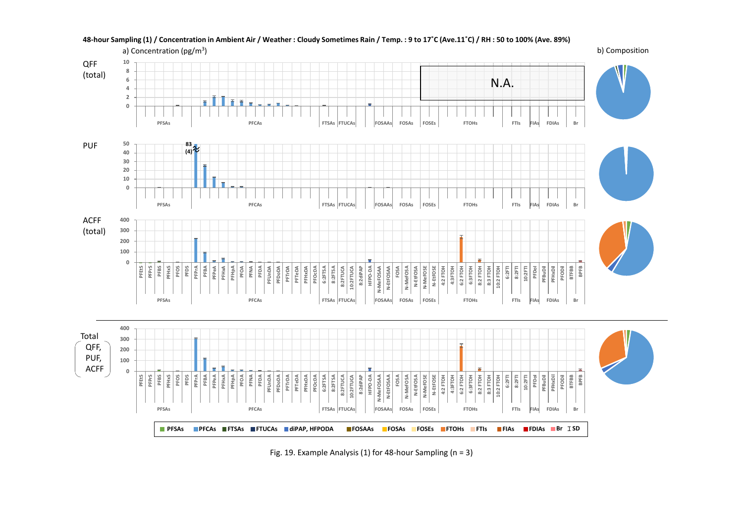

# 48-hour Sampling (1) / Concentration in Ambient Air / Weather: Cloudy Sometimes Rain / Temp.: 9 to 17°C (Ave.11°C) / RH: 50 to 100% (Ave. 89%)

Fig. 19. Example Analysis (1) for 48-hour Sampling ( $n = 3$ )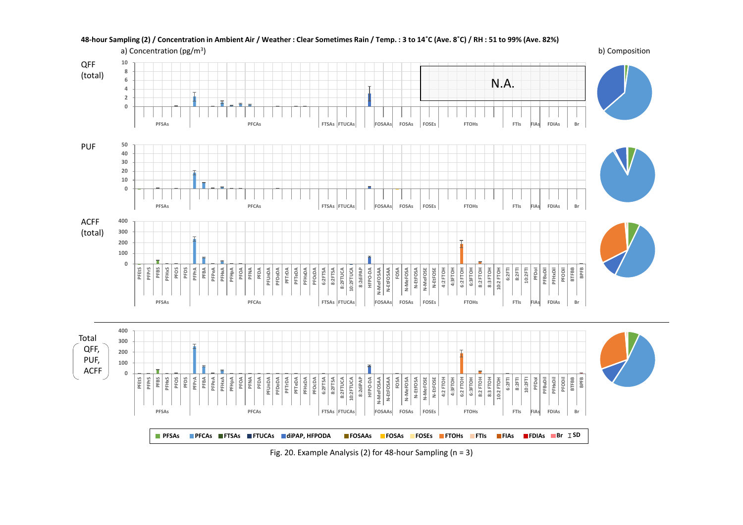

# 48-hour Sampling (2) / Concentration in Ambient Air / Weather : Clear Sometimes Rain / Temp. : 3 to 14°C (Ave. 8°C) / RH : 51 to 99% (Ave. 82%)

Fig. 20. Example Analysis (2) for 48-hour Sampling ( $n = 3$ )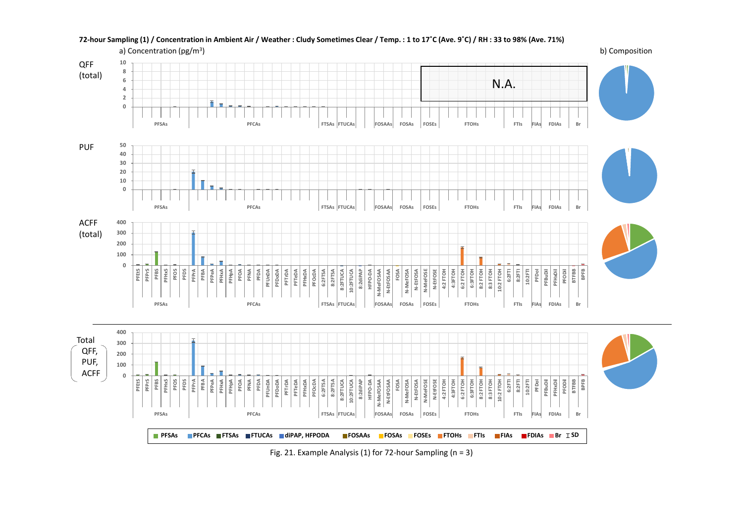

# **72-hour Sampling (1) / Concentration in Ambient Air / Weather : Cludy Sometimes Clear / Temp. : 1 to 17˚C (Ave. 9˚C) / RH : 33 to 98% (Ave. 71%)**

Fig. 21. Example Analysis (1) for 72-hour Sampling (n = 3)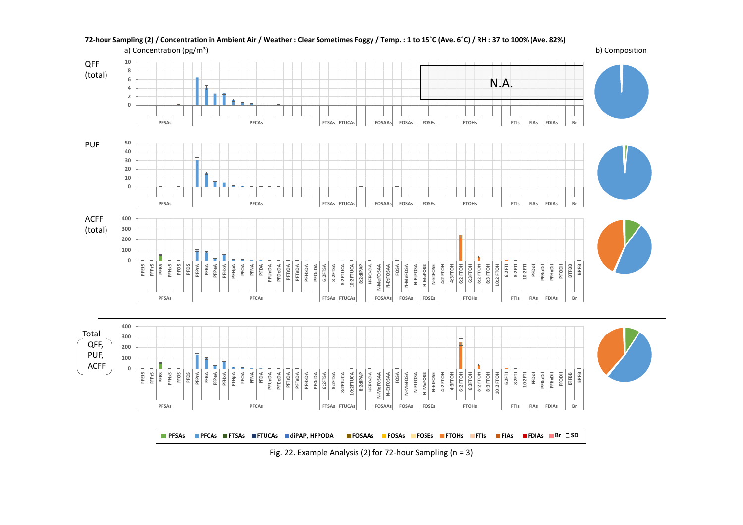

# **72-hour Sampling (2) / Concentration in Ambient Air / Weather : Clear Sometimes Foggy / Temp. : 1 to 15˚C (Ave. 6˚C) / RH : 37 to 100% (Ave. 82%)**

<span id="page-30-0"></span>Fig. 22. Example Analysis (2) for 72-hour Sampling (n = 3)